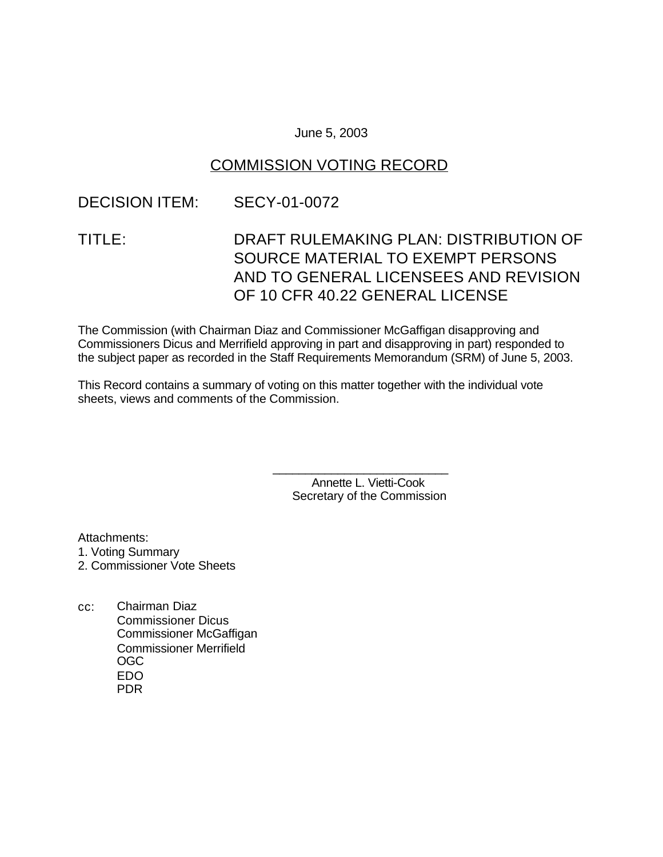### June 5, 2003

### COMMISSION VOTING RECORD

### DECISION ITEM: SECY-01-0072

# TITLE: DRAFT RULEMAKING PLAN: DISTRIBUTION OF SOURCE MATERIAL TO EXEMPT PERSONS AND TO GENERAL LICENSEES AND REVISION OF 10 CFR 40.22 GENERAL LICENSE

The Commission (with Chairman Diaz and Commissioner McGaffigan disapproving and Commissioners Dicus and Merrifield approving in part and disapproving in part) responded to the subject paper as recorded in the Staff Requirements Memorandum (SRM) of June 5, 2003.

This Record contains a summary of voting on this matter together with the individual vote sheets, views and comments of the Commission.

> Annette L. Vietti-Cook Secretary of the Commission

\_\_\_\_\_\_\_\_\_\_\_\_\_\_\_\_\_\_\_\_\_\_\_\_\_\_\_

Attachments:

1. Voting Summary

- 2. Commissioner Vote Sheets
- cc: Chairman Diaz Commissioner Dicus Commissioner McGaffigan Commissioner Merrifield OGC EDO PDR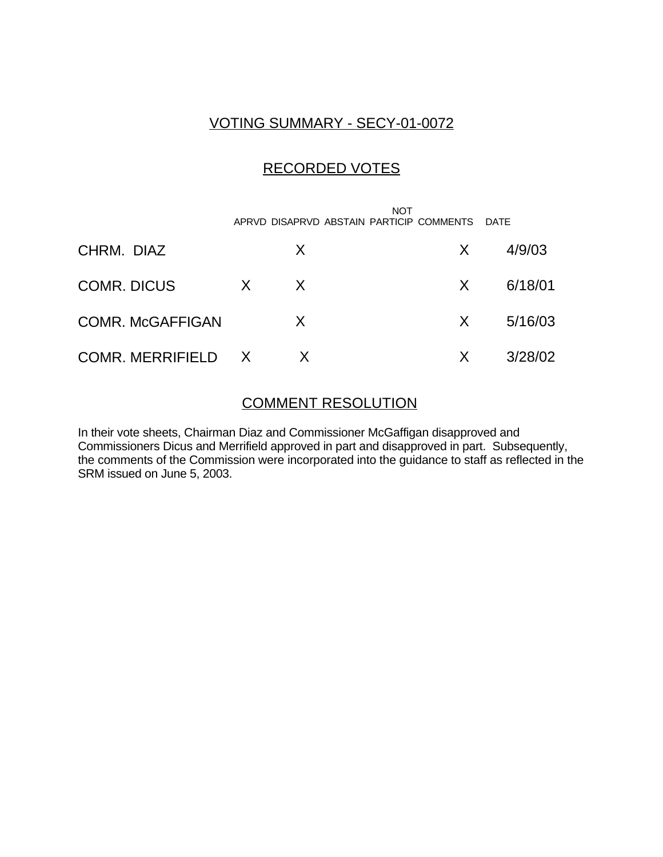## VOTING SUMMARY - SECY-01-0072

## RECORDED VOTES

 NOT APRVD DISAPRVD ABSTAIN PARTICIP COMMENTS DATE CHRM. DIAZ X X 4/9/03 COMR. DICUS X X X 6/18/01 COMR. McGAFFIGAN X X 5/16/03 COMR. MERRIFIELD X X X 3/28/02

### COMMENT RESOLUTION

In their vote sheets, Chairman Diaz and Commissioner McGaffigan disapproved and Commissioners Dicus and Merrifield approved in part and disapproved in part. Subsequently, the comments of the Commission were incorporated into the guidance to staff as reflected in the SRM issued on June 5, 2003.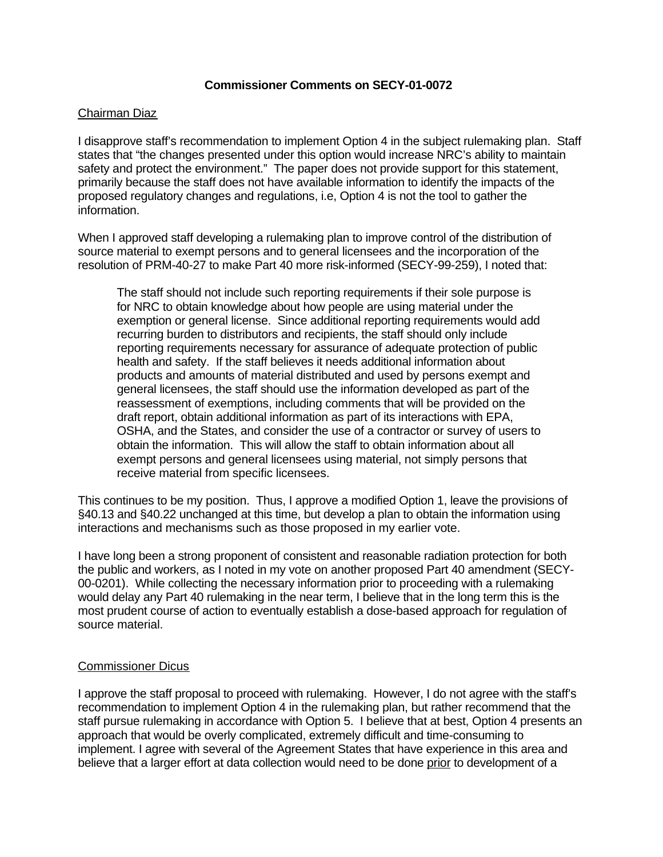### **Commissioner Comments on SECY-01-0072**

#### Chairman Diaz

I disapprove staff's recommendation to implement Option 4 in the subject rulemaking plan. Staff states that "the changes presented under this option would increase NRC's ability to maintain safety and protect the environment." The paper does not provide support for this statement, primarily because the staff does not have available information to identify the impacts of the proposed regulatory changes and regulations, i.e, Option 4 is not the tool to gather the information.

When I approved staff developing a rulemaking plan to improve control of the distribution of source material to exempt persons and to general licensees and the incorporation of the resolution of PRM-40-27 to make Part 40 more risk-informed (SECY-99-259), I noted that:

The staff should not include such reporting requirements if their sole purpose is for NRC to obtain knowledge about how people are using material under the exemption or general license. Since additional reporting requirements would add recurring burden to distributors and recipients, the staff should only include reporting requirements necessary for assurance of adequate protection of public health and safety. If the staff believes it needs additional information about products and amounts of material distributed and used by persons exempt and general licensees, the staff should use the information developed as part of the reassessment of exemptions, including comments that will be provided on the draft report, obtain additional information as part of its interactions with EPA, OSHA, and the States, and consider the use of a contractor or survey of users to obtain the information. This will allow the staff to obtain information about all exempt persons and general licensees using material, not simply persons that receive material from specific licensees.

This continues to be my position. Thus, I approve a modified Option 1, leave the provisions of §40.13 and §40.22 unchanged at this time, but develop a plan to obtain the information using interactions and mechanisms such as those proposed in my earlier vote.

I have long been a strong proponent of consistent and reasonable radiation protection for both the public and workers, as I noted in my vote on another proposed Part 40 amendment (SECY-00-0201). While collecting the necessary information prior to proceeding with a rulemaking would delay any Part 40 rulemaking in the near term, I believe that in the long term this is the most prudent course of action to eventually establish a dose-based approach for regulation of source material.

### Commissioner Dicus

I approve the staff proposal to proceed with rulemaking. However, I do not agree with the staff's recommendation to implement Option 4 in the rulemaking plan, but rather recommend that the staff pursue rulemaking in accordance with Option 5. I believe that at best, Option 4 presents an approach that would be overly complicated, extremely difficult and time-consuming to implement. I agree with several of the Agreement States that have experience in this area and believe that a larger effort at data collection would need to be done prior to development of a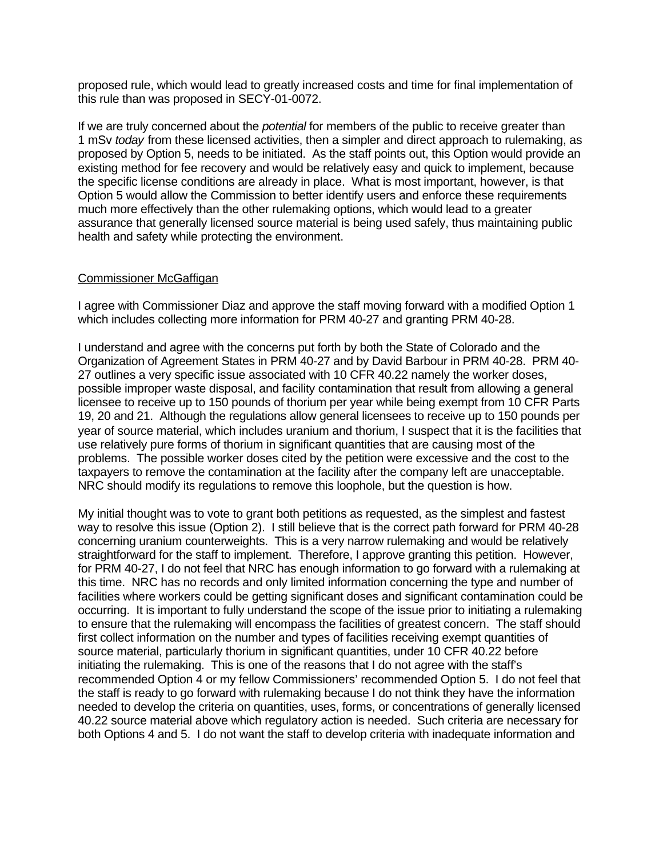proposed rule, which would lead to greatly increased costs and time for final implementation of this rule than was proposed in SECY-01-0072.

If we are truly concerned about the *potential* for members of the public to receive greater than 1 mSv *today* from these licensed activities, then a simpler and direct approach to rulemaking, as proposed by Option 5, needs to be initiated. As the staff points out, this Option would provide an existing method for fee recovery and would be relatively easy and quick to implement, because the specific license conditions are already in place. What is most important, however, is that Option 5 would allow the Commission to better identify users and enforce these requirements much more effectively than the other rulemaking options, which would lead to a greater assurance that generally licensed source material is being used safely, thus maintaining public health and safety while protecting the environment.

#### Commissioner McGaffigan

I agree with Commissioner Diaz and approve the staff moving forward with a modified Option 1 which includes collecting more information for PRM 40-27 and granting PRM 40-28.

I understand and agree with the concerns put forth by both the State of Colorado and the Organization of Agreement States in PRM 40-27 and by David Barbour in PRM 40-28. PRM 40- 27 outlines a very specific issue associated with 10 CFR 40.22 namely the worker doses, possible improper waste disposal, and facility contamination that result from allowing a general licensee to receive up to 150 pounds of thorium per year while being exempt from 10 CFR Parts 19, 20 and 21. Although the regulations allow general licensees to receive up to 150 pounds per year of source material, which includes uranium and thorium, I suspect that it is the facilities that use relatively pure forms of thorium in significant quantities that are causing most of the problems. The possible worker doses cited by the petition were excessive and the cost to the taxpayers to remove the contamination at the facility after the company left are unacceptable. NRC should modify its regulations to remove this loophole, but the question is how.

My initial thought was to vote to grant both petitions as requested, as the simplest and fastest way to resolve this issue (Option 2). I still believe that is the correct path forward for PRM 40-28 concerning uranium counterweights. This is a very narrow rulemaking and would be relatively straightforward for the staff to implement. Therefore, I approve granting this petition. However, for PRM 40-27, I do not feel that NRC has enough information to go forward with a rulemaking at this time. NRC has no records and only limited information concerning the type and number of facilities where workers could be getting significant doses and significant contamination could be occurring. It is important to fully understand the scope of the issue prior to initiating a rulemaking to ensure that the rulemaking will encompass the facilities of greatest concern. The staff should first collect information on the number and types of facilities receiving exempt quantities of source material, particularly thorium in significant quantities, under 10 CFR 40.22 before initiating the rulemaking. This is one of the reasons that I do not agree with the staff's recommended Option 4 or my fellow Commissioners' recommended Option 5. I do not feel that the staff is ready to go forward with rulemaking because I do not think they have the information needed to develop the criteria on quantities, uses, forms, or concentrations of generally licensed 40.22 source material above which regulatory action is needed. Such criteria are necessary for both Options 4 and 5. I do not want the staff to develop criteria with inadequate information and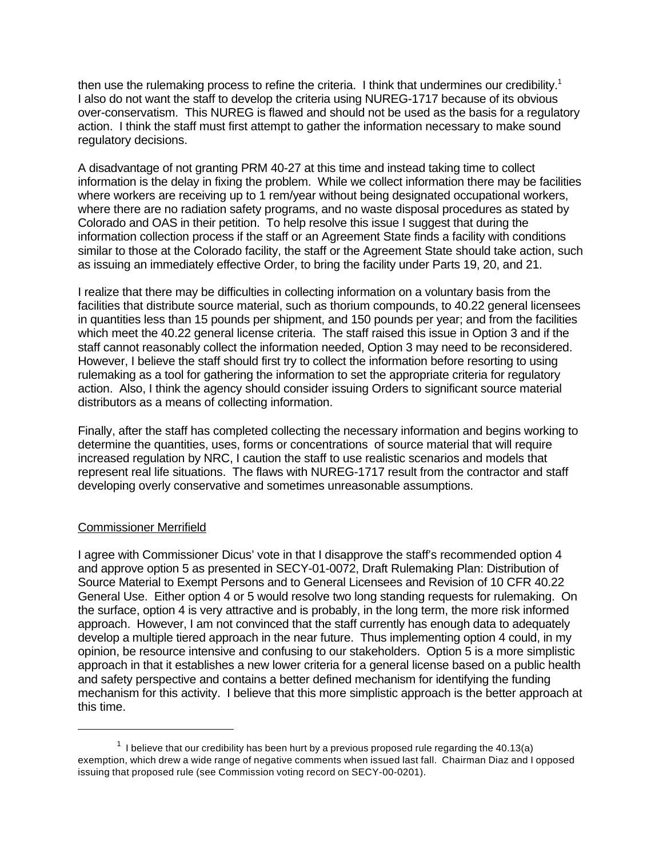then use the rulemaking process to refine the criteria. I think that undermines our credibility.<sup>1</sup> I also do not want the staff to develop the criteria using NUREG-1717 because of its obvious over-conservatism. This NUREG is flawed and should not be used as the basis for a regulatory action. I think the staff must first attempt to gather the information necessary to make sound regulatory decisions.

A disadvantage of not granting PRM 40-27 at this time and instead taking time to collect information is the delay in fixing the problem. While we collect information there may be facilities where workers are receiving up to 1 rem/year without being designated occupational workers, where there are no radiation safety programs, and no waste disposal procedures as stated by Colorado and OAS in their petition. To help resolve this issue I suggest that during the information collection process if the staff or an Agreement State finds a facility with conditions similar to those at the Colorado facility, the staff or the Agreement State should take action, such as issuing an immediately effective Order, to bring the facility under Parts 19, 20, and 21.

I realize that there may be difficulties in collecting information on a voluntary basis from the facilities that distribute source material, such as thorium compounds, to 40.22 general licensees in quantities less than 15 pounds per shipment, and 150 pounds per year; and from the facilities which meet the 40.22 general license criteria. The staff raised this issue in Option 3 and if the staff cannot reasonably collect the information needed, Option 3 may need to be reconsidered. However, I believe the staff should first try to collect the information before resorting to using rulemaking as a tool for gathering the information to set the appropriate criteria for regulatory action. Also, I think the agency should consider issuing Orders to significant source material distributors as a means of collecting information.

Finally, after the staff has completed collecting the necessary information and begins working to determine the quantities, uses, forms or concentrations of source material that will require increased regulation by NRC, I caution the staff to use realistic scenarios and models that represent real life situations. The flaws with NUREG-1717 result from the contractor and staff developing overly conservative and sometimes unreasonable assumptions.

#### Commissioner Merrifield

I agree with Commissioner Dicus' vote in that I disapprove the staff's recommended option 4 and approve option 5 as presented in SECY-01-0072, Draft Rulemaking Plan: Distribution of Source Material to Exempt Persons and to General Licensees and Revision of 10 CFR 40.22 General Use. Either option 4 or 5 would resolve two long standing requests for rulemaking. On the surface, option 4 is very attractive and is probably, in the long term, the more risk informed approach. However, I am not convinced that the staff currently has enough data to adequately develop a multiple tiered approach in the near future. Thus implementing option 4 could, in my opinion, be resource intensive and confusing to our stakeholders. Option 5 is a more simplistic approach in that it establishes a new lower criteria for a general license based on a public health and safety perspective and contains a better defined mechanism for identifying the funding mechanism for this activity. I believe that this more simplistic approach is the better approach at this time.

 $1$  I believe that our credibility has been hurt by a previous proposed rule regarding the 40.13(a) exemption, which drew a wide range of negative comments when issued last fall. Chairman Diaz and I opposed issuing that proposed rule (see Commission voting record on SECY-00-0201).